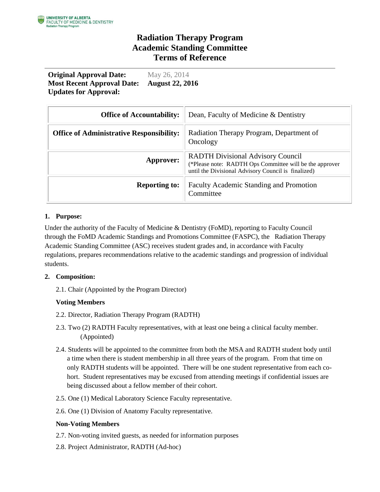## **Radiation Therapy Program Academic Standing Committee Terms of Reference**

**Original Approval Date:** May 26, 2014 **Most Recent Approval Date: Updates for Approval: August 22, 2016**

| <b>Office of Accountability:</b>                | Dean, Faculty of Medicine & Dentistry                                                                                                                      |
|-------------------------------------------------|------------------------------------------------------------------------------------------------------------------------------------------------------------|
| <b>Office of Administrative Responsibility:</b> | Radiation Therapy Program, Department of<br>Oncology                                                                                                       |
| Approver:                                       | <b>RADTH Divisional Advisory Council</b><br>(*Please note: RADTH Ops Committee will be the approver<br>until the Divisional Advisory Council is finalized) |
| <b>Reporting to:</b>                            | <b>Faculty Academic Standing and Promotion</b><br>Committee                                                                                                |

### **1. Purpose:**

Under the authority of the Faculty of Medicine & Dentistry (FoMD), reporting to Faculty Council through the FoMD Academic Standings and Promotions Committee (FASPC), the Radiation Therapy Academic Standing Committee (ASC) receives student grades and, in accordance with Faculty regulations, prepares recommendations relative to the academic standings and progression of individual students.

### **2. Composition:**

2.1. Chair (Appointed by the Program Director)

### **Voting Members**

- 2.2. Director, Radiation Therapy Program (RADTH)
- 2.3. Two (2) RADTH Faculty representatives, with at least one being a clinical faculty member. (Appointed)
- 2.4. Students will be appointed to the committee from both the MSA and RADTH student body until a time when there is student membership in all three years of the program. From that time on only RADTH students will be appointed. There will be one student representative from each cohort. Student representatives may be excused from attending meetings if confidential issues are being discussed about a fellow member of their cohort.
- 2.5. One (1) Medical Laboratory Science Faculty representative.
- 2.6. One (1) Division of Anatomy Faculty representative.

### **Non-Voting Members**

- 2.7. Non-voting invited guests, as needed for information purposes
- 2.8. Project Administrator, RADTH (Ad-hoc)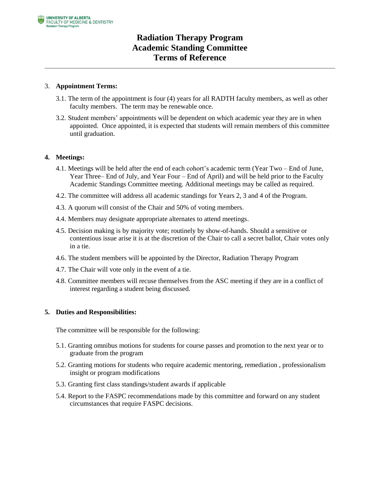# **Radiation Therapy Program Academic Standing Committee Terms of Reference**

### 3. **Appointment Terms:**

- 3.1. The term of the appointment is four (4) years for all RADTH faculty members, as well as other faculty members. The term may be renewable once.
- 3.2. Student members' appointments will be dependent on which academic year they are in when appointed. Once appointed, it is expected that students will remain members of this committee until graduation.

### **4. Meetings:**

- 4.1. Meetings will be held after the end of each cohort's academic term (Year Two End of June, Year Three– End of July, and Year Four – End of April) and will be held prior to the Faculty Academic Standings Committee meeting. Additional meetings may be called as required.
- 4.2. The committee will address all academic standings for Years 2, 3 and 4 of the Program.
- 4.3. A quorum will consist of the Chair and 50% of voting members.
- 4.4. Members may designate appropriate alternates to attend meetings.
- 4.5. Decision making is by majority vote; routinely by show-of-hands. Should a sensitive or contentious issue arise it is at the discretion of the Chair to call a secret ballot, Chair votes only in a tie.
- 4.6. The student members will be appointed by the Director, Radiation Therapy Program
- 4.7. The Chair will vote only in the event of a tie.
- 4.8. Committee members will recuse themselves from the ASC meeting if they are in a conflict of interest regarding a student being discussed.

### **5. Duties and Responsibilities:**

The committee will be responsible for the following:

- 5.1. Granting omnibus motions for students for course passes and promotion to the next year or to graduate from the program
- 5.2. Granting motions for students who require academic mentoring, remediation , professionalism insight or program modifications
- 5.3. Granting first class standings/student awards if applicable
- 5.4. Report to the FASPC recommendations made by this committee and forward on any student circumstances that require FASPC decisions.